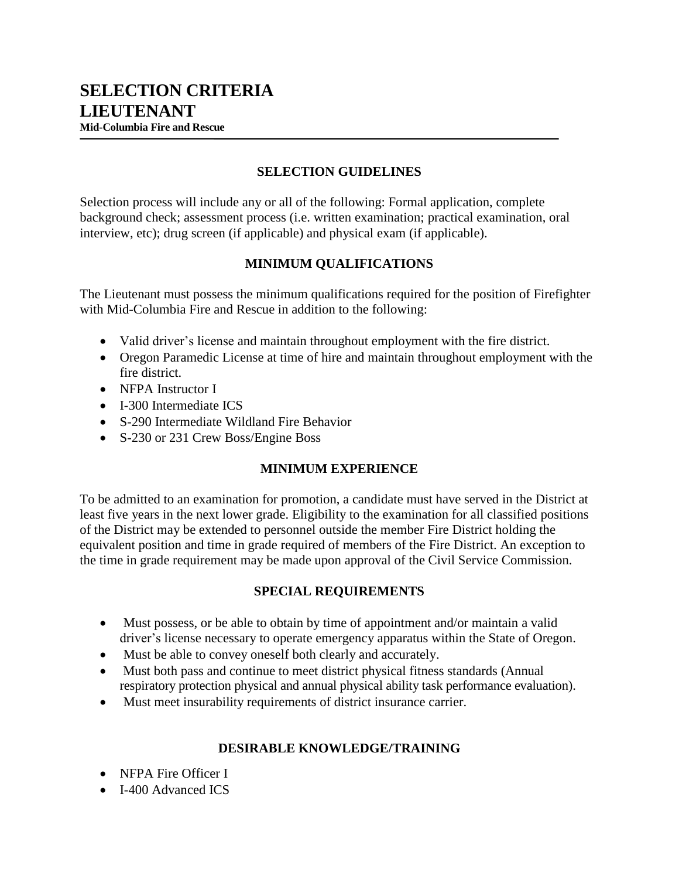#### **SELECTION GUIDELINES**

Selection process will include any or all of the following: Formal application, complete background check; assessment process (i.e. written examination; practical examination, oral interview, etc); drug screen (if applicable) and physical exam (if applicable).

### **MINIMUM QUALIFICATIONS**

The Lieutenant must possess the minimum qualifications required for the position of Firefighter with Mid-Columbia Fire and Rescue in addition to the following:

- Valid driver's license and maintain throughout employment with the fire district.
- Oregon Paramedic License at time of hire and maintain throughout employment with the fire district.
- NFPA Instructor I
- I-300 Intermediate ICS
- S-290 Intermediate Wildland Fire Behavior
- S-230 or 231 Crew Boss/Engine Boss

#### **MINIMUM EXPERIENCE**

To be admitted to an examination for promotion, a candidate must have served in the District at least five years in the next lower grade. Eligibility to the examination for all classified positions of the District may be extended to personnel outside the member Fire District holding the equivalent position and time in grade required of members of the Fire District. An exception to the time in grade requirement may be made upon approval of the Civil Service Commission.

#### **SPECIAL REQUIREMENTS**

- Must possess, or be able to obtain by time of appointment and/or maintain a valid driver's license necessary to operate emergency apparatus within the State of Oregon.
- Must be able to convey oneself both clearly and accurately.
- Must both pass and continue to meet district physical fitness standards (Annual respiratory protection physical and annual physical ability task performance evaluation).
- Must meet insurability requirements of district insurance carrier.

### **DESIRABLE KNOWLEDGE/TRAINING**

- NFPA Fire Officer I
- I-400 Advanced ICS